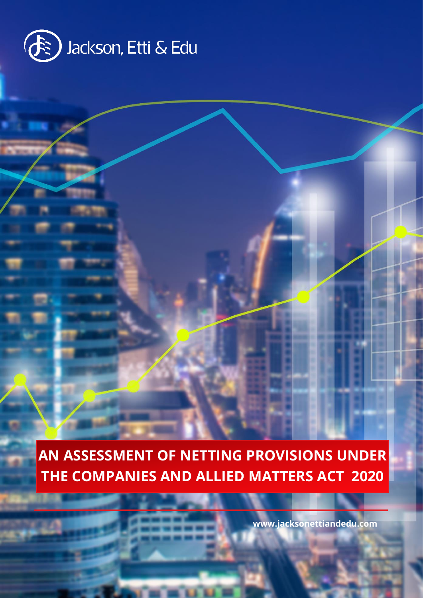

**AN ASSESSMENT OF NETTING PROVISIONS UNDER THE COMPANIES AND ALLIED MATTERS ACT 2020**

**SECTOR**

**www.jacksonettiandedu.com**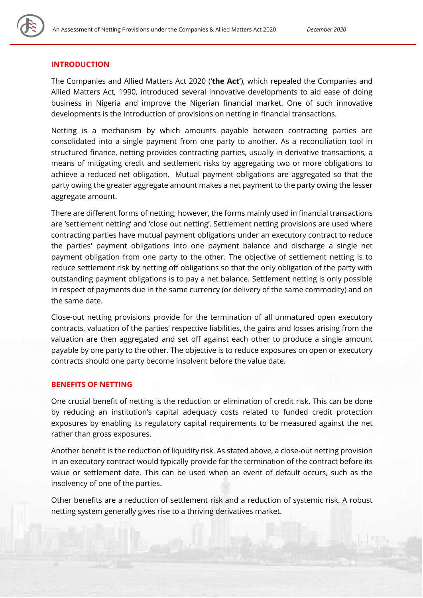

#### **INTRODUCTION**

The Companies and Allied Matters Act 2020 ('**the Act'**), which repealed the Companies and Allied Matters Act, 1990, introduced several innovative developments to aid ease of doing business in Nigeria and improve the Nigerian financial market. One of such innovative developments is the introduction of provisions on netting in financial transactions.

Netting is a mechanism by which amounts payable between contracting parties are consolidated into a single payment from one party to another. As a reconciliation tool in structured finance, netting provides contracting parties, usually in derivative transactions, a means of mitigating credit and settlement risks by aggregating two or more obligations to achieve a reduced net obligation. Mutual payment obligations are aggregated so that the party owing the greater aggregate amount makes a net payment to the party owing the lesser aggregate amount.

There are different forms of netting; however, the forms mainly used in financial transactions are 'settlement netting' and 'close out netting'. Settlement netting provisions are used where contracting parties have mutual payment obligations under an executory contract to reduce the parties' payment obligations into one payment balance and discharge a single net payment obligation from one party to the other. The objective of settlement netting is to reduce settlement risk by netting off obligations so that the only obligation of the party with outstanding payment obligations is to pay a net balance. Settlement netting is only possible in respect of payments due in the same currency (or delivery of the same commodity) and on the same date.

Close-out netting provisions provide for the termination of all unmatured open executory contracts, valuation of the parties' respective liabilities, the gains and losses arising from the valuation are then aggregated and set off against each other to produce a single amount payable by one party to the other. The objective is to reduce exposures on open or executory contracts should one party become insolvent before the value date.

## **BENEFITS OF NETTING**

One crucial benefit of netting is the reduction or elimination of credit risk. This can be done by reducing an institution's capital adequacy costs related to funded credit protection exposures by enabling its regulatory capital requirements to be measured against the net rather than gross exposures.

Another benefit is the reduction of liquidity risk. As stated above, a close-out netting provision in an executory contract would typically provide for the termination of the contract before its value or settlement date. This can be used when an event of default occurs, such as the insolvency of one of the parties.

Other benefits are a reduction of settlement risk and a reduction of systemic risk. A robust netting system generally gives rise to a thriving derivatives market.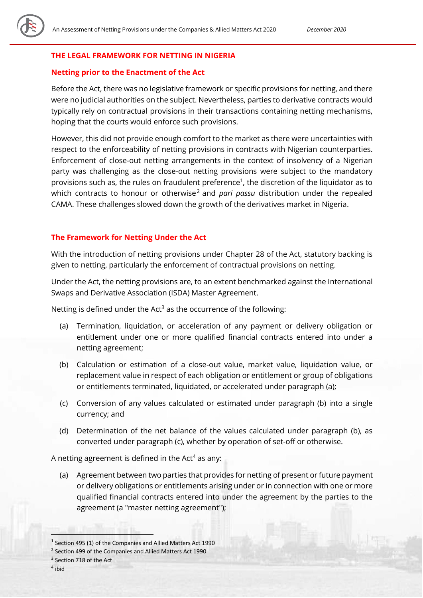## **THE LEGAL FRAMEWORK FOR NETTING IN NIGERIA**

#### **Netting prior to the Enactment of the Act**

Before the Act, there was no legislative framework or specific provisions for netting, and there were no judicial authorities on the subject. Nevertheless, parties to derivative contracts would typically rely on contractual provisions in their transactions containing netting mechanisms, hoping that the courts would enforce such provisions.

However, this did not provide enough comfort to the market as there were uncertainties with respect to the enforceability of netting provisions in contracts with Nigerian counterparties. Enforcement of close-out netting arrangements in the context of insolvency of a Nigerian party was challenging as the close-out netting provisions were subject to the mandatory provisions such as, the rules on fraudulent preference<sup>1</sup>, the discretion of the liquidator as to which contracts to honour or otherwise<sup>2</sup> and *pari passu* distribution under the repealed CAMA. These challenges slowed down the growth of the derivatives market in Nigeria.

#### **The Framework for Netting Under the Act**

With the introduction of netting provisions under Chapter 28 of the Act, statutory backing is given to netting, particularly the enforcement of contractual provisions on netting.

Under the Act, the netting provisions are, to an extent benchmarked against the International Swaps and Derivative Association (ISDA) Master Agreement.

Netting is defined under the Act<sup>3</sup> as the occurrence of the following:

- (a) Termination, liquidation, or acceleration of any payment or delivery obligation or entitlement under one or more qualified financial contracts entered into under a netting agreement;
- (b) Calculation or estimation of a close-out value, market value, liquidation value, or replacement value in respect of each obligation or entitlement or group of obligations or entitlements terminated, liquidated, or accelerated under paragraph (a);
- (c) Conversion of any values calculated or estimated under paragraph (b) into a single currency; and
- (d) Determination of the net balance of the values calculated under paragraph (b), as converted under paragraph (c), whether by operation of set-off or otherwise.

A netting agreement is defined in the Act<sup>4</sup> as any:

(a) Agreement between two parties that provides for netting of present or future payment or delivery obligations or entitlements arising under or in connection with one or more qualified financial contracts entered into under the agreement by the parties to the agreement (a "master netting agreement");

4 ibid

<sup>&</sup>lt;sup>1</sup> Section 495 (1) of the Companies and Allied Matters Act 1990

<sup>&</sup>lt;sup>2</sup> Section 499 of the Companies and Allied Matters Act 1990

<sup>&</sup>lt;sup>3</sup> Section 718 of the Act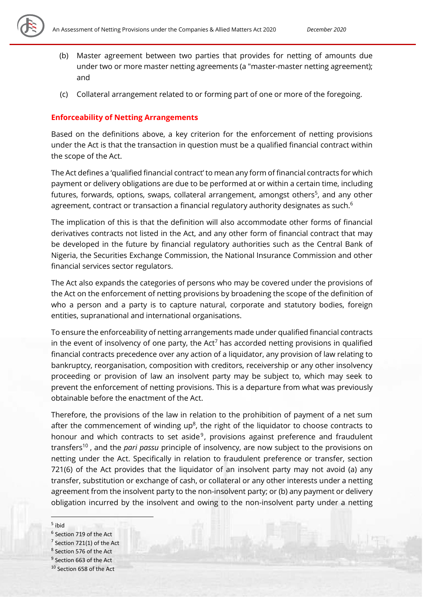

- (b) Master agreement between two parties that provides for netting of amounts due under two or more master netting agreements (a "master-master netting agreement); and
- (c) Collateral arrangement related to or forming part of one or more of the foregoing.

## **Enforceability of Netting Arrangements**

Based on the definitions above, a key criterion for the enforcement of netting provisions under the Act is that the transaction in question must be a qualified financial contract within the scope of the Act.

The Act defines a 'qualified financial contract' to mean any form of financial contracts for which payment or delivery obligations are due to be performed at or within a certain time, including futures, forwards, options, swaps, collateral arrangement, amongst others<sup>5</sup>, and any other agreement, contract or transaction a financial regulatory authority designates as such.<sup>6</sup>

The implication of this is that the definition will also accommodate other forms of financial derivatives contracts not listed in the Act, and any other form of financial contract that may be developed in the future by financial regulatory authorities such as the Central Bank of Nigeria, the Securities Exchange Commission, the National Insurance Commission and other financial services sector regulators.

The Act also expands the categories of persons who may be covered under the provisions of the Act on the enforcement of netting provisions by broadening the scope of the definition of who a person and a party is to capture natural, corporate and statutory bodies, foreign entities, supranational and international organisations.

To ensure the enforceability of netting arrangements made under qualified financial contracts in the event of insolvency of one party, the Act<sup>7</sup> has accorded netting provisions in qualified financial contracts precedence over any action of a liquidator, any provision of law relating to bankruptcy, reorganisation, composition with creditors, receivership or any other insolvency proceeding or provision of law an insolvent party may be subject to, which may seek to prevent the enforcement of netting provisions. This is a departure from what was previously obtainable before the enactment of the Act.

Therefore, the provisions of the law in relation to the prohibition of payment of a net sum after the commencement of winding up $<sup>8</sup>$ , the right of the liquidator to choose contracts to</sup> honour and which contracts to set aside<sup>9</sup>, provisions against preference and fraudulent transfers<sup>10</sup> , and the *pari passu* principle of insolvency, are now subject to the provisions on netting under the Act. Specifically in relation to fraudulent preference or transfer, section 721(6) of the Act provides that the liquidator of an insolvent party may not avoid (a) any transfer, substitution or exchange of cash, or collateral or any other interests under a netting agreement from the insolvent party to the non-insolvent party; or (b) any payment or delivery obligation incurred by the insolvent and owing to the non-insolvent party under a netting

#### 5 ibid

- <sup>6</sup> Section 719 of the Act
- $7$  Section 721(1) of the Act
- <sup>8</sup> Section 576 of the Act
- <sup>9</sup> Section 663 of the Act
- <sup>10</sup> Section 658 of the Act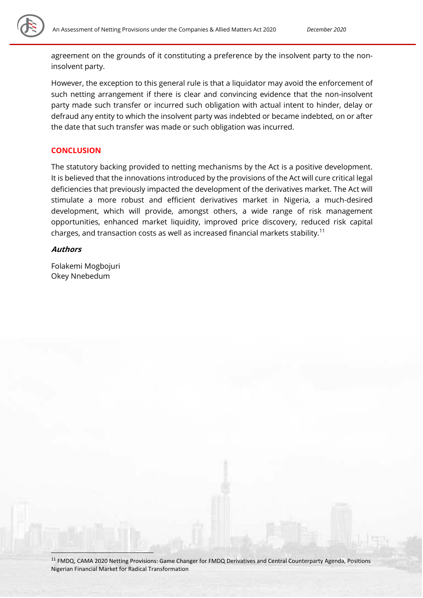

agreement on the grounds of it constituting a preference by the insolvent party to the noninsolvent party.

However, the exception to this general rule is that a liquidator may avoid the enforcement of such netting arrangement if there is clear and convincing evidence that the non-insolvent party made such transfer or incurred such obligation with actual intent to hinder, delay or defraud any entity to which the insolvent party was indebted or became indebted, on or after the date that such transfer was made or such obligation was incurred.

## **CONCLUSION**

The statutory backing provided to netting mechanisms by the Act is a positive development. It is believed that the innovations introduced by the provisions of the Act will cure critical legal deficiencies that previously impacted the development of the derivatives market. The Act will stimulate a more robust and efficient derivatives market in Nigeria, a much-desired development, which will provide, amongst others, a wide range of risk management opportunities, enhanced market liquidity, improved price discovery, reduced risk capital charges, and transaction costs as well as increased financial markets stability.<sup>11</sup>

## **Authors**

Folakemi Mogbojuri Okey Nnebedum